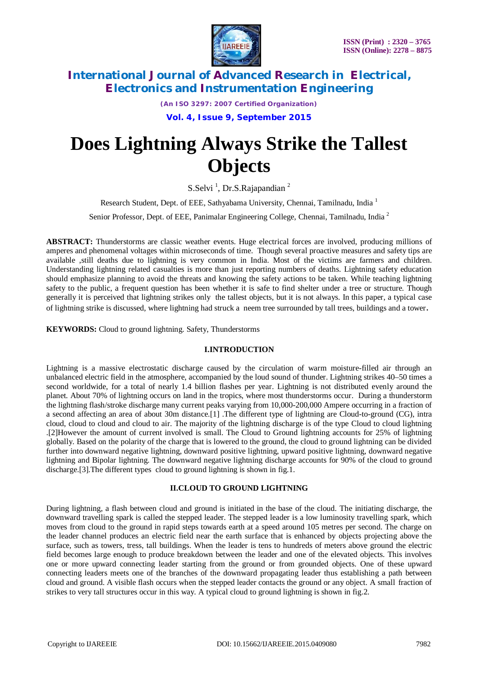

*(An ISO 3297: 2007 Certified Organization)*

**Vol. 4, Issue 9, September 2015**

# **Does Lightning Always Strike the Tallest Objects**

S.Selvi<sup>1</sup>, Dr.S.Rajapandian<sup>2</sup>

Research Student, Dept. of EEE, Sathyabama University, Chennai, Tamilnadu, India<sup>1</sup>

Senior Professor, Dept. of EEE, Panimalar Engineering College, Chennai, Tamilnadu, India <sup>2</sup>

**ABSTRACT:** Thunderstorms are classic weather events. Huge electrical forces are involved, producing millions of amperes and phenomenal voltages within microseconds of time. Though several proactive measures and safety tips are available ,still deaths due to lightning is very common in India. Most of the victims are farmers and children. Understanding lightning related casualties is more than just reporting numbers of deaths. Lightning safety education should emphasize planning to avoid the threats and knowing the safety actions to be taken. While teaching lightning safety to the public, a frequent question has been whether it is safe to find shelter under a tree or structure. Though generally it is perceived that lightning strikes only the tallest objects, but it is not always. In this paper, a typical case of lightning strike is discussed, where lightning had struck a neem tree surrounded by tall trees, buildings and a tower.

**KEYWORDS:** Cloud to ground lightning. Safety, Thunderstorms

## **I.INTRODUCTION**

Lightning is a massive electrostatic discharge caused by the circulation of warm moisture-filled air through an unbalanced electric field in the atmosphere, accompanied by the loud sound of thunder. Lightning strikes 40–50 times a second worldwide, for a total of nearly 1.4 billion flashes per year. Lightning is not distributed evenly around the planet. About 70% of lightning occurs on land in the tropics, where most thunderstorms occur. During a thunderstorm the lightning flash/stroke discharge many current peaks varying from 10,000-200,000 Ampere occurring in a fraction of a second affecting an area of about 30m distance.[1] .The different type of lightning are Cloud-to-ground (CG), intra cloud, cloud to cloud and cloud to air. The majority of the lightning discharge is of the type Cloud to cloud lightning .[2]However the amount of current involved is small. The Cloud to Ground lightning accounts for 25% of lightning globally. Based on the polarity of the charge that is lowered to the ground, the cloud to ground lightning can be divided further into downward negative lightning, downward positive lightning, upward positive lightning, downward negative lightning and Bipolar lightning. The downward negative lightning discharge accounts for 90% of the cloud to ground discharge.[3].The different types cloud to ground lightning is shown in fig.1.

## **II.CLOUD TO GROUND LIGHTNING**

During lightning, a flash between cloud and ground is initiated in the base of the cloud. The initiating discharge, the downward travelling spark is called the stepped leader. The stepped leader is a low luminosity travelling spark, which moves from cloud to the ground in rapid steps towards earth at a speed around 105 metres per second. The charge on the leader channel produces an electric field near the earth surface that is enhanced by objects projecting above the surface, such as towers, tress, tall buildings. When the leader is tens to hundreds of meters above ground the electric field becomes large enough to produce breakdown between the leader and one of the elevated objects. This involves one or more upward connecting leader starting from the ground or from grounded objects. One of these upward connecting leaders meets one of the branches of the downward propagating leader thus establishing a path between cloud and ground. A visible flash occurs when the stepped leader contacts the ground or any object. A small fraction of strikes to very tall structures occur in this way. A typical cloud to ground lightning is shown in fig.2.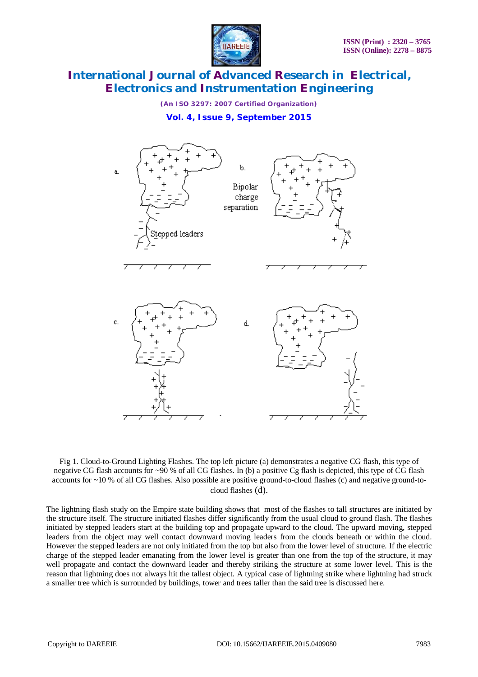

*(An ISO 3297: 2007 Certified Organization)*

## **Vol. 4, Issue 9, September 2015**



Fig 1. Cloud-to-Ground Lighting Flashes. The top left picture (a) demonstrates a negative CG flash, this type of negative CG flash accounts for ~90 % of all CG flashes. In (b) a positive Cg flash is depicted, this type of CG flash accounts for ~10 % of all CG flashes. Also possible are positive ground-to-cloud flashes (c) and negative ground-tocloud flashes (d).

The lightning flash study on the Empire state building shows that most of the flashes to tall structures are initiated by the structure itself. The structure initiated flashes differ significantly from the usual cloud to ground flash. The flashes initiated by stepped leaders start at the building top and propagate upward to the cloud. The upward moving, stepped leaders from the object may well contact downward moving leaders from the clouds beneath or within the cloud. However the stepped leaders are not only initiated from the top but also from the lower level of structure. If the electric charge of the stepped leader emanating from the lower level is greater than one from the top of the structure, it may well propagate and contact the downward leader and thereby striking the structure at some lower level. This is the reason that lightning does not always hit the tallest object. A typical case of lightning strike where lightning had struck a smaller tree which is surrounded by buildings, tower and trees taller than the said tree is discussed here.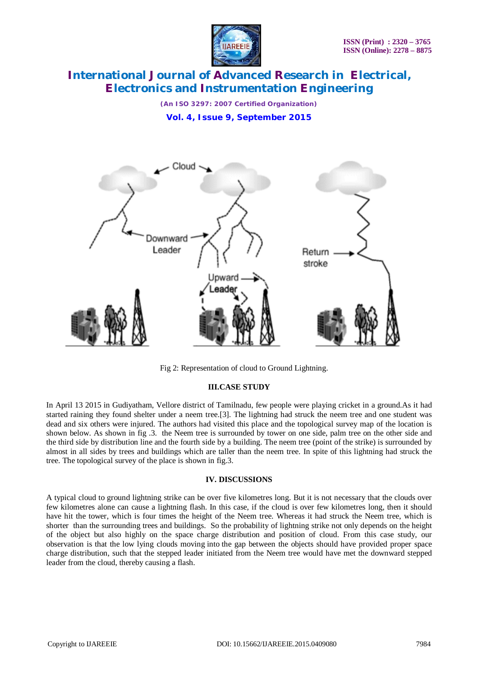

*(An ISO 3297: 2007 Certified Organization)* **Vol. 4, Issue 9, September 2015**



Fig 2: Representation of cloud to Ground Lightning.

## **III.CASE STUDY**

In April 13 2015 in Gudiyatham, Vellore district of Tamilnadu, few people were playing cricket in a ground.As it had started raining they found shelter under a neem tree.[3]. The lightning had struck the neem tree and one student was dead and six others were injured. The authors had visited this place and the topological survey map of the location is shown below. As shown in fig .3. the Neem tree is surrounded by tower on one side, palm tree on the other side and the third side by distribution line and the fourth side by a building. The neem tree (point of the strike) is surrounded by almost in all sides by trees and buildings which are taller than the neem tree. In spite of this lightning had struck the tree. The topological survey of the place is shown in fig.3.

## **IV. DISCUSSIONS**

A typical cloud to ground lightning strike can be over five kilometres long. But it is not necessary that the clouds over few kilometres alone can cause a lightning flash. In this case, if the cloud is over few kilometres long, then it should have hit the tower, which is four times the height of the Neem tree. Whereas it had struck the Neem tree, which is shorter than the surrounding trees and buildings. So the probability of lightning strike not only depends on the height of the object but also highly on the space charge distribution and position of cloud. From this case study, our observation is that the low lying clouds moving into the gap between the objects should have provided proper space charge distribution, such that the stepped leader initiated from the Neem tree would have met the downward stepped leader from the cloud, thereby causing a flash.